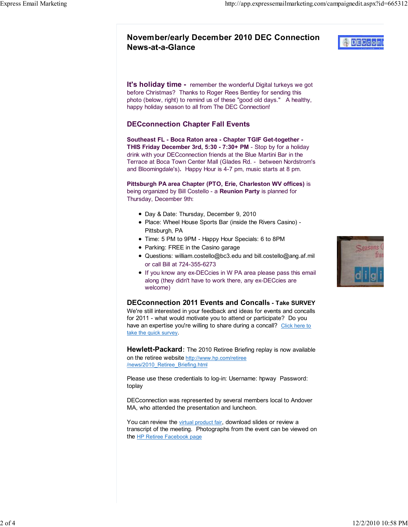# November/early December 2010 DEC Connection News-at-a-Glance

It's holiday time - remember the wonderful Digital turkeys we got before Christmas? Thanks to Roger Rees Bentley for sending this photo (below, right) to remind us of these "good old days." A healthy, happy holiday season to all from The DEC Connection!

### DECconnection Chapter Fall Events

Southeast FL - Boca Raton area - Chapter TGIF Get-together - THIS Friday December 3rd, 5:30 - 7:30+ PM - Stop by for a holiday drink with your DECconnection friends at the Blue Martini Bar in the Terrace at Boca Town Center Mall (Glades Rd. - between Nordstrom's and Bloomingdale's). Happy Hour is 4-7 pm, music starts at 8 pm.

Pittsburgh PA area Chapter (PTO, Erie, Charleston WV offices) is being organized by Bill Costello - a Reunion Party is planned for Thursday, December 9th:

- Day & Date: Thursday, December 9, 2010
- Place: Wheel House Sports Bar (inside the Rivers Casino) Pittsburgh, PA
- Time: 5 PM to 9PM Happy Hour Specials: 6 to 8PM
- Parking: FREE in the Casino garage
- Questions: william.costello@bc3.edu and bill.costello@ang.af.mil or call Bill at 724-355-6273
- **If you know any ex-DECcies in W PA area please pass this email** along (they didn't have to work there, any ex-DECcies are welcome)

### DECconnection 2011 Events and Concalls - Take SURVEY

We're still interested in your feedback and ideas for events and concalls for 2011 - what would motivate you to attend or participate? Do you have an expertise you're willing to share during a concall? Click here to take the quick survey.

**Hewlett-Packard:** The 2010 Retiree Briefing replay is now available on the retiree website http://www.hp.com/retiree /news/2010\_Retiree\_Briefing.html

Please use these credentials to log-in: Username: hpway Password: toplay

DECconnection was represented by several members local to Andover MA, who attended the presentation and luncheon.

You can review the virtual product fair, download slides or review a transcript of the meeting. Photographs from the event can be viewed on the HP Retiree Facebook page